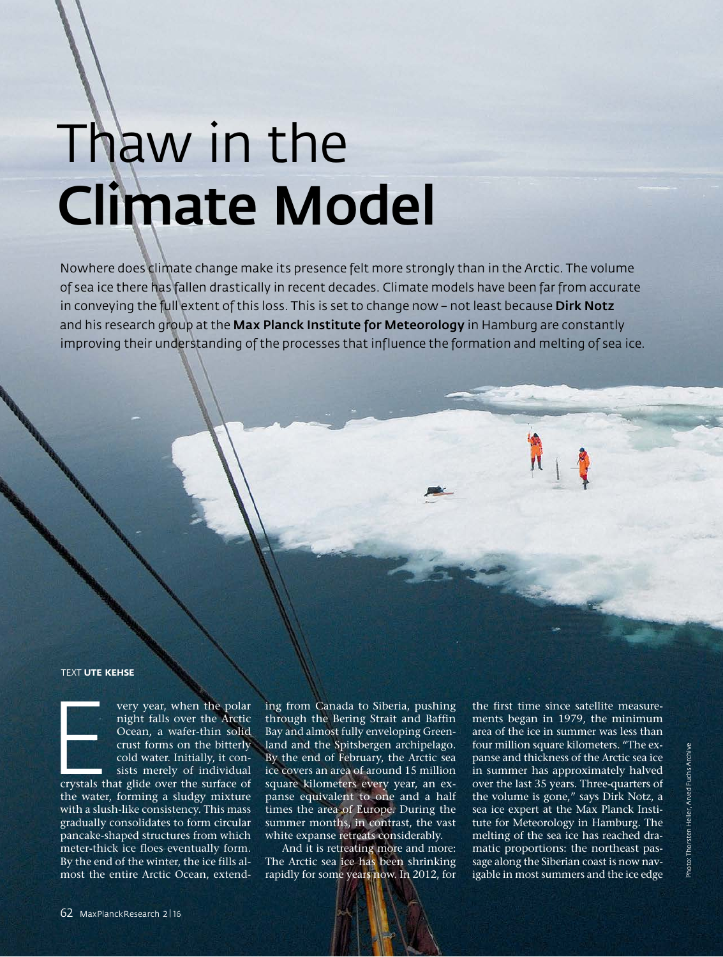# Thaw in the Climate Model

Nowhere does climate change make its presence felt more strongly than in the Arctic. The volume of sea ice there has fallen drastically in recent decades. Climate models have been far from accurate in conveying the full extent of this loss. This is set to change now - not least because Dirk Notz and his research group at the Max Planck Institute for Meteorology in Hamburg are constantly improving their understanding of the processes that influence the formation and melting of sea ice.

#### TEXT **UTE KEHSE**



very year, when the polar<br>
night falls over the Arctic<br>
Ocean, a wafer-thin solid<br>
crust forms on the bitterly<br>
cold water. Initially, it consists merely of individual<br>
crystals that glide over the surface of night falls over the Arctic Ocean, a wafer-thin solid crust forms on the bitterly cold water. Initially, it consists merely of individual

crystals that glide over the surface of the water, forming a sludgy mixture with a slush-like consistency. This mass gradually consolidates to form circular pancake-shaped structures from which meter-thick ice floes eventually form. By the end of the winter, the ice fills almost the entire Arctic Ocean, extend-

ing from Canada to Siberia, pushing through the Bering Strait and Baffin Bay and almost fully enveloping Greenland and the Spitsbergen archipelago. By the end of February, the Arctic sea ice covers an area of around 15 million square kilometers every year, an expanse equivalent to one and a half times the area of Europe. During the summer months, in contrast, the vast white expanse retreats considerably.

And it is retreating more and more: The Arctic sea ice has been shrinking rapidly for some years now. In 2012, for the first time since satellite measurements began in 1979, the minimum area of the ice in summer was less than four million square kilometers. "The expanse and thickness of the Arctic sea ice in summer has approximately halved over the last 35 years. Three-quarters of the volume is gone," says Dirk Notz, a sea ice expert at the Max Planck Institute for Meteorology in Hamburg. The melting of the sea ice has reached dramatic proportions: the northeast passage along the Siberian coast is now navigable in most summers and the ice edge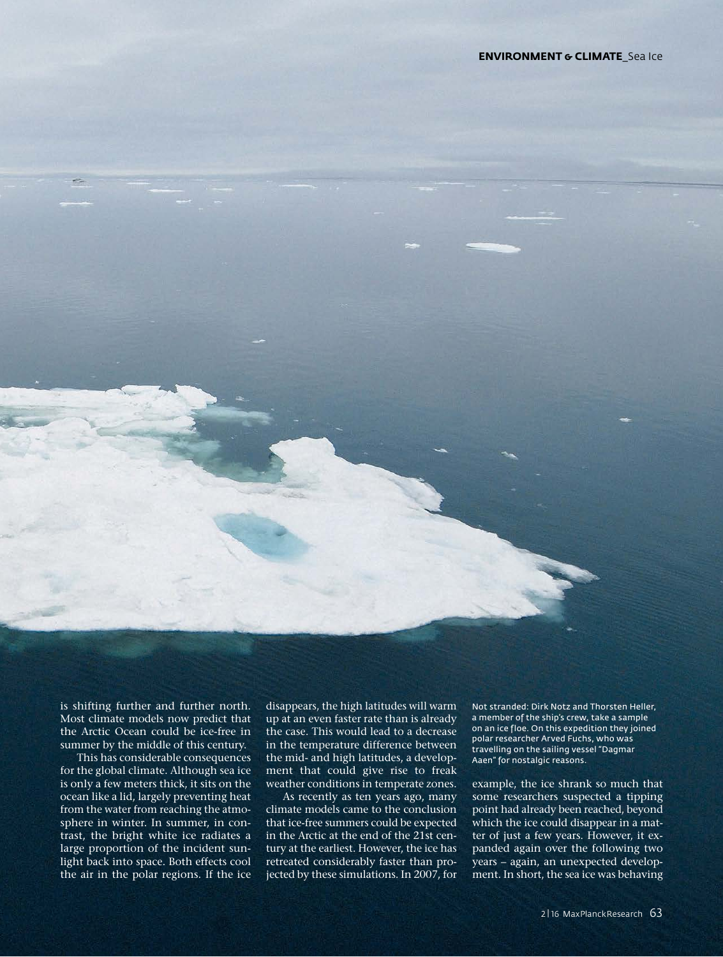is shifting further and further north. Most climate models now predict that the Arctic Ocean could be ice-free in summer by the middle of this century.

This has considerable consequences for the global climate. Although sea ice is only a few meters thick, it sits on the ocean like a lid, largely preventing heat from the water from reaching the atmosphere in winter. In summer, in contrast, the bright white ice radiates a large proportion of the incident sunlight back into space. Both effects cool the air in the polar regions. If the ice

disappears, the high latitudes will warm up at an even faster rate than is already the case. This would lead to a decrease in the temperature difference between the mid- and high latitudes, a development that could give rise to freak weather conditions in temperate zones.

As recently as ten years ago, many climate models came to the conclusion that ice-free summers could be expected in the Arctic at the end of the 21st century at the earliest. However, the ice has retreated considerably faster than projected by these simulations. In 2007, for Not stranded: Dirk Notz and Thorsten Heller, a member of the ship's crew, take a sample on an ice floe. On this expedition they joined polar researcher Arved Fuchs, who was travelling on the sailing vessel "Dagmar Aaen" for nostalgic reasons.

example, the ice shrank so much that some researchers suspected a tipping point had already been reached, beyond which the ice could disappear in a matter of just a few years. However, it expanded again over the following two years – again, an unexpected development. In short, the sea ice was behaving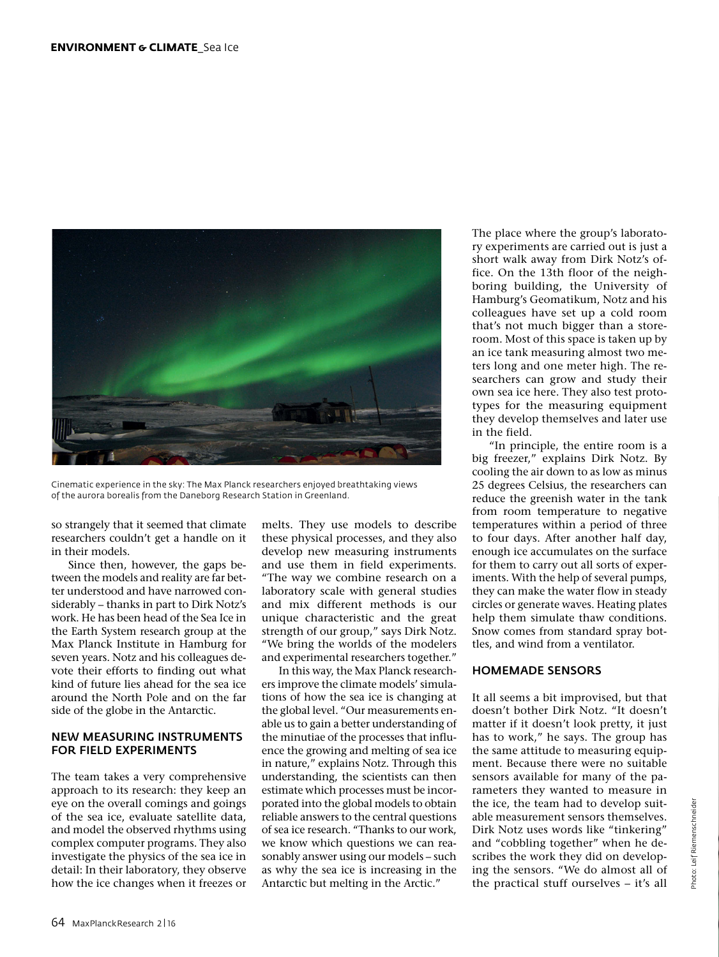

Cinematic experience in the sky: The Max Planck researchers enjoyed breathtaking views of the aurora borealis from the Daneborg Research Station in Greenland.

so strangely that it seemed that climate researchers couldn't get a handle on it in their models.

Since then, however, the gaps between the models and reality are far better understood and have narrowed considerably – thanks in part to Dirk Notz's work. He has been head of the Sea Ice in the Earth System research group at the Max Planck Institute in Hamburg for seven years. Notz and his colleagues devote their efforts to finding out what kind of future lies ahead for the sea ice around the North Pole and on the far side of the globe in the Antarctic.

#### NEW MEASURING INSTRUMENTS FOR FIELD EXPERIMENTS

The team takes a very comprehensive approach to its research: they keep an eye on the overall comings and goings of the sea ice, evaluate satellite data, and model the observed rhythms using complex computer programs. They also investigate the physics of the sea ice in detail: In their laboratory, they observe how the ice changes when it freezes or melts. They use models to describe these physical processes, and they also develop new measuring instruments and use them in field experiments. "The way we combine research on a laboratory scale with general studies and mix different methods is our unique characteristic and the great strength of our group," says Dirk Notz. "We bring the worlds of the modelers and experimental researchers together."

In this way, the Max Planck researchers improve the climate models' simulations of how the sea ice is changing at the global level. "Our measurements enable us to gain a better understanding of the minutiae of the processes that influence the growing and melting of sea ice in nature," explains Notz. Through this understanding, the scientists can then estimate which processes must be incorporated into the global models to obtain reliable answers to the central questions of sea ice research. "Thanks to our work, we know which questions we can reasonably answer using our models – such as why the sea ice is increasing in the Antarctic but melting in the Arctic."

The place where the group's laboratory experiments are carried out is just a short walk away from Dirk Notz's office. On the 13th floor of the neighboring building, the University of Hamburg's Geomatikum, Notz and his colleagues have set up a cold room that's not much bigger than a storeroom. Most of this space is taken up by an ice tank measuring almost two meters long and one meter high. The researchers can grow and study their own sea ice here. They also test prototypes for the measuring equipment they develop themselves and later use in the field.

"In principle, the entire room is a big freezer," explains Dirk Notz. By cooling the air down to as low as minus 25 degrees Celsius, the researchers can reduce the greenish water in the tank from room temperature to negative temperatures within a period of three to four days. After another half day, enough ice accumulates on the surface for them to carry out all sorts of experiments. With the help of several pumps, they can make the water flow in steady circles or generate waves. Heating plates help them simulate thaw conditions. Snow comes from standard spray bottles, and wind from a ventilator.

# HOMEMADE SENSORS

It all seems a bit improvised, but that doesn't bother Dirk Notz. "It doesn't matter if it doesn't look pretty, it just has to work," he says. The group has the same attitude to measuring equipment. Because there were no suitable sensors available for many of the parameters they wanted to measure in the ice, the team had to develop suitable measurement sensors themselves. Dirk Notz uses words like "tinkering" and "cobbling together" when he describes the work they did on developing the sensors. "We do almost all of the practical stuff ourselves – it's all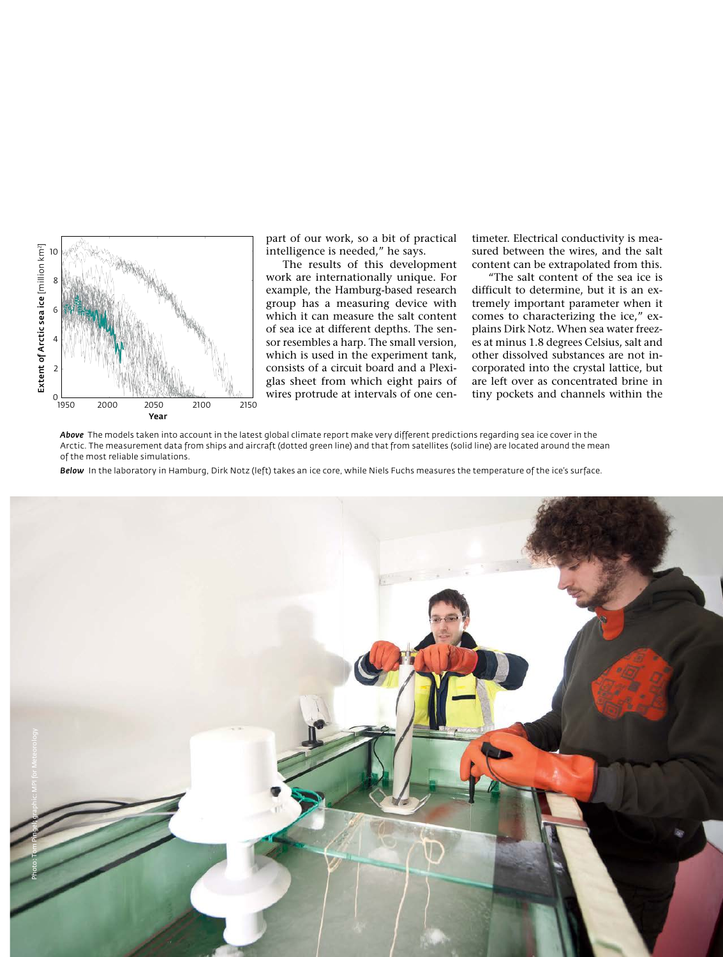

part of our work, so a bit of practical intelligence is needed," he says.

The results of this development work are internationally unique. For example, the Hamburg-based research group has a measuring device with which it can measure the salt content of sea ice at different depths. The sensor resembles a harp. The small version, which is used in the experiment tank, consists of a circuit board and a Plexiglas sheet from which eight pairs of wires protrude at intervals of one centimeter. Electrical conductivity is measured between the wires, and the salt content can be extrapolated from this.

"The salt content of the sea ice is difficult to determine, but it is an extremely important parameter when it comes to characterizing the ice," explains Dirk Notz. When sea water freezes at minus 1.8 degrees Celsius, salt and other dissolved substances are not incorporated into the crystal lattice, but are left over as concentrated brine in tiny pockets and channels within the

*Above* The models taken into account in the latest global climate report make very different predictions regarding sea ice cover in the Arctic. The measurement data from ships and aircraft (dotted green line) and that from satellites (solid line) are located around the mean of the most reliable simulations.

*Below* In the laboratory in Hamburg, Dirk Notz (left) takes an ice core, while Niels Fuchs measures the temperature of the ice's surface.

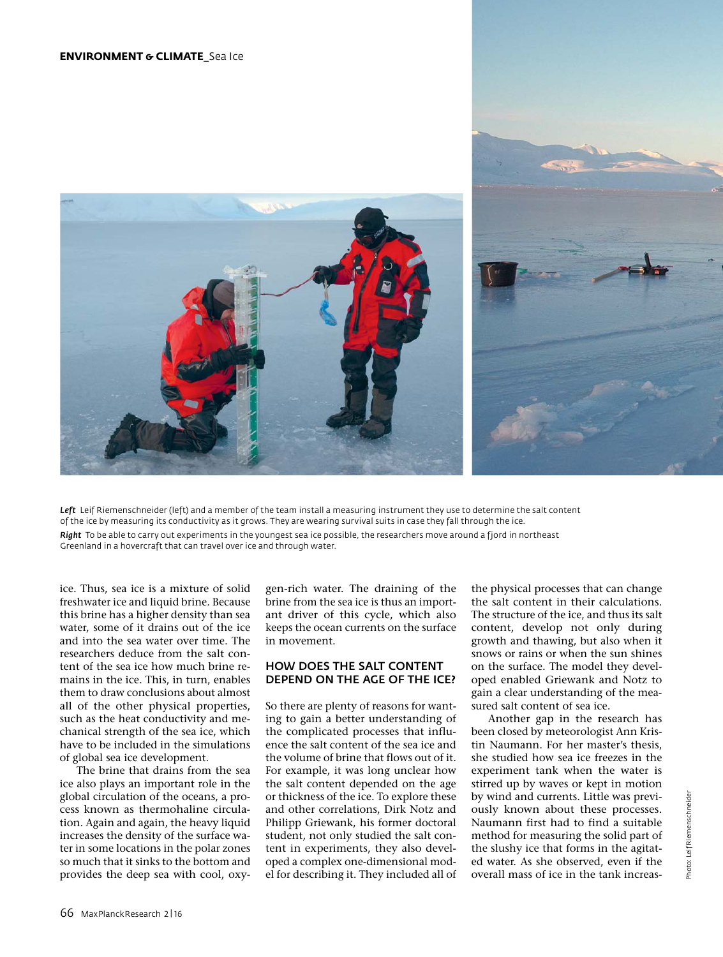

*Left* Leif Riemenschneider (left) and a member of the team install a measuring instrument they use to determine the salt content of the ice by measuring its conductivity as it grows. They are wearing survival suits in case they fall through the ice. *Right* To be able to carry out experiments in the youngest sea ice possible, the researchers move around a fjord in northeast Greenland in a hovercraft that can travel over ice and through water.

ice. Thus, sea ice is a mixture of solid freshwater ice and liquid brine. Because this brine has a higher density than sea water, some of it drains out of the ice and into the sea water over time. The researchers deduce from the salt content of the sea ice how much brine remains in the ice. This, in turn, enables them to draw conclusions about almost all of the other physical properties, such as the heat conductivity and mechanical strength of the sea ice, which have to be included in the simulations of global sea ice development.

The brine that drains from the sea ice also plays an important role in the global circulation of the oceans, a process known as thermohaline circulation. Again and again, the heavy liquid increases the density of the surface water in some locations in the polar zones so much that it sinks to the bottom and provides the deep sea with cool, oxygen-rich water. The draining of the brine from the sea ice is thus an important driver of this cycle, which also keeps the ocean currents on the surface in movement.

# HOW DOES THE SALT CONTENT DEPEND ON THE AGE OF THE ICE?

So there are plenty of reasons for wanting to gain a better understanding of the complicated processes that influence the salt content of the sea ice and the volume of brine that flows out of it. For example, it was long unclear how the salt content depended on the age or thickness of the ice. To explore these and other correlations, Dirk Notz and Philipp Griewank, his former doctoral student, not only studied the salt content in experiments, they also developed a complex one-dimensional model for describing it. They included all of

the physical processes that can change the salt content in their calculations. The structure of the ice, and thus its salt content, develop not only during growth and thawing, but also when it snows or rains or when the sun shines on the surface. The model they developed enabled Griewank and Notz to gain a clear understanding of the measured salt content of sea ice.

Another gap in the research has been closed by meteorologist Ann Kristin Naumann. For her master's thesis, she studied how sea ice freezes in the experiment tank when the water is stirred up by waves or kept in motion by wind and currents. Little was previously known about these processes. Naumann first had to find a suitable method for measuring the solid part of the slushy ice that forms in the agitated water. As she observed, even if the overall mass of ice in the tank increas-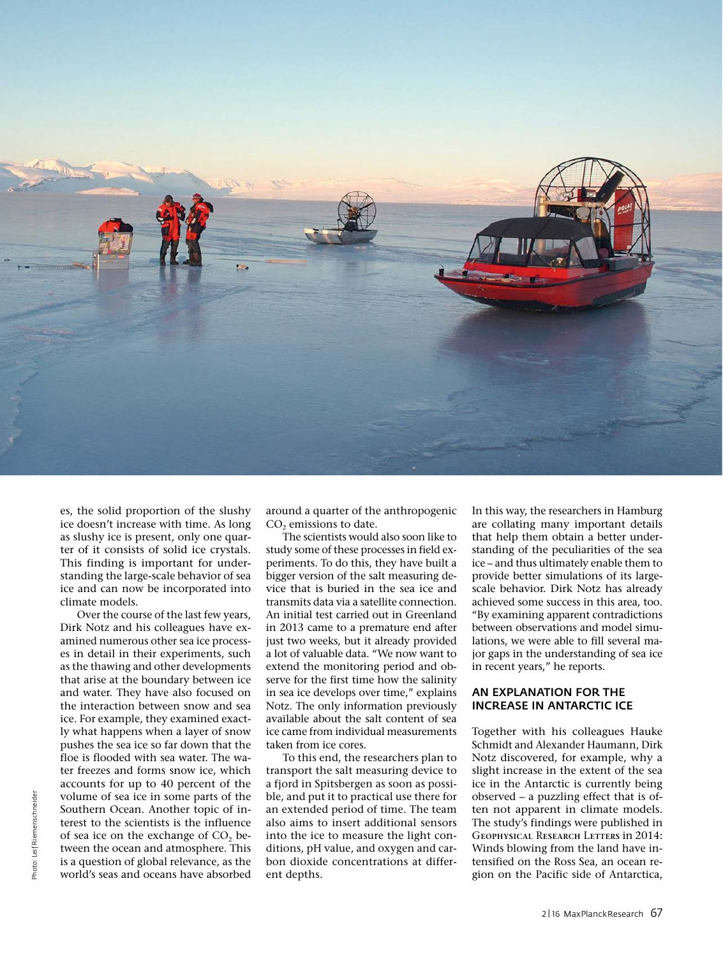

es, the solid proportion of the slushy ice doesn't increase with time. As long as slushy ice is present, only one quarter of it consists of solid ice crystals. This finding is important for understanding the large-scale behavior of sea ice and can now be incorporated into climate models.

Over the course of the last few years, Dirk Notz and his colleagues have examined numerous other sea ice processes in detail in their experiments, such as the thawing and other developments that arise at the boundary between ice and water. They have also focused on the interaction between snow and sea ice. For example, they examined exactly what happens when a layer of snow pushes the sea ice so far down that the floe is flooded with sea water. The water freezes and forms snow ice, which accounts for up to 40 percent of the volume of sea ice in some parts of the Southern Ocean. Another topic of interest to the scientists is the influence of sea ice on the exchange of  $CO<sub>2</sub>$  between the ocean and atmosphere. This is a question of global relevance, as the world's seas and oceans have absorbed

around a quarter of the anthropogenic CO<sub>2</sub> emissions to date.

The scientists would also soon like to study some of these processes in field experiments. To do this, they have built a bigger version of the salt measuring device that is buried in the sea ice and transmits data via a satellite connection. An initial test carried out in Greenland in 2013 came to a premature end after just two weeks, but it already provided a lot of valuable data. "We now want to extend the monitoring period and observe for the first time how the salinity in sea ice develops over time," explains Notz. The only information previously available about the salt content of sea ice came from individual measurements taken from ice cores.

To this end, the researchers plan to transport the salt measuring device to a fjord in Spitsbergen as soon as possible, and put it to practical use there for an extended period of time. The team also aims to insert additional sensors into the ice to measure the light conditions, pH value, and oxygen and carbon dioxide concentrations at different depths.

In this way, the researchers in Hamburg are collating many important details that help them obtain a better understanding of the peculiarities of the sea ice – and thus ultimately enable them to provide better simulations of its largescale behavior. Dirk Notz has already achieved some success in this area, too. "By examining apparent contradictions between observations and model simulations, we were able to fill several major gaps in the understanding of sea ice in recent years," he reports.

# AN EXPLANATION FOR THE INCREASE IN ANTARCTIC ICE

Together with his colleagues Hauke Schmidt and Alexander Haumann, Dirk Notz discovered, for example, why a slight increase in the extent of the sea ice in the Antarctic is currently being observed – a puzzling effect that is often not apparent in climate models. The study's findings were published in G**eophysical** R**esearch** L**etters** in 2014: Winds blowing from the land have intensified on the Ross Sea, an ocean region on the Pacific side of Antarctica,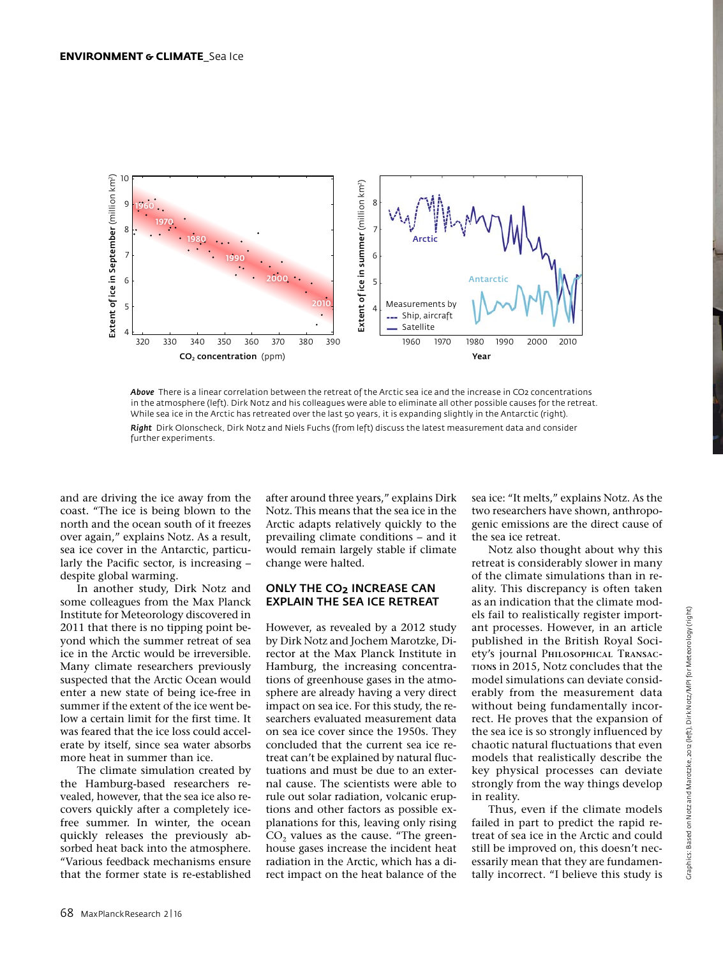



further experiments.

and are driving the ice away from the coast. "The ice is being blown to the north and the ocean south of it freezes over again," explains Notz. As a result, sea ice cover in the Antarctic, particularly the Pacific sector, is increasing – despite global warming.

In another study, Dirk Notz and some colleagues from the Max Planck Institute for Meteorology discovered in 2011 that there is no tipping point beyond which the summer retreat of sea ice in the Arctic would be irreversible. Many climate researchers previously suspected that the Arctic Ocean would enter a new state of being ice-free in summer if the extent of the ice went below a certain limit for the first time. It was feared that the ice loss could accelerate by itself, since sea water absorbs more heat in summer than ice.

The climate simulation created by the Hamburg-based researchers revealed, however, that the sea ice also recovers quickly after a completely icefree summer. In winter, the ocean quickly releases the previously absorbed heat back into the atmosphere. "Various feedback mechanisms ensure that the former state is re-established after around three years," explains Dirk Notz. This means that the sea ice in the Arctic adapts relatively quickly to the prevailing climate conditions – and it would remain largely stable if climate change were halted.

# ONLY THE CO<sub>2</sub> INCREASE CAN EXPLAIN THE SEA ICE RETREAT

However, as revealed by a 2012 study by Dirk Notz and Jochem Marotzke, Director at the Max Planck Institute in Hamburg, the increasing concentrations of greenhouse gases in the atmosphere are already having a very direct impact on sea ice. For this study, the researchers evaluated measurement data on sea ice cover since the 1950s. They concluded that the current sea ice retreat can't be explained by natural fluctuations and must be due to an external cause. The scientists were able to rule out solar radiation, volcanic eruptions and other factors as possible explanations for this, leaving only rising  $CO<sub>2</sub>$  values as the cause. "The greenhouse gases increase the incident heat radiation in the Arctic, which has a direct impact on the heat balance of the sea ice: "It melts," explains Notz. As the two researchers have shown, anthropogenic emissions are the direct cause of the sea ice retreat.

Notz also thought about why this retreat is considerably slower in many of the climate simulations than in reality. This discrepancy is often taken as an indication that the climate models fail to realistically register important processes. However, in an article published in the British Royal Society's journal P**hilosophical** T**ransactions** in 2015, Notz concludes that the model simulations can deviate considerably from the measurement data without being fundamentally incorrect. He proves that the expansion of the sea ice is so strongly influenced by chaotic natural fluctuations that even models that realistically describe the key physical processes can deviate strongly from the way things develop in reality.

Thus, even if the climate models failed in part to predict the rapid retreat of sea ice in the Arctic and could still be improved on, this doesn't necessarily mean that they are fundamentally incorrect. "I believe this study is